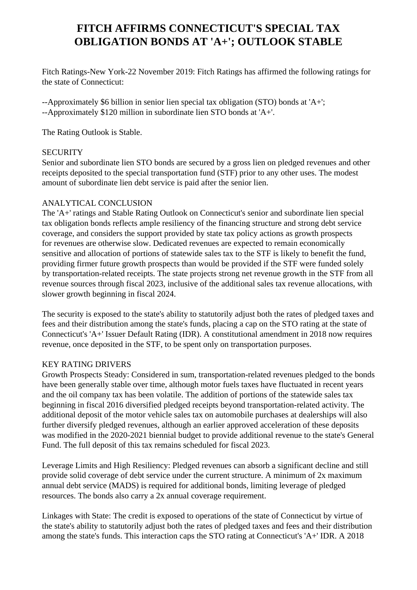# **FITCH AFFIRMS CONNECTICUT'S SPECIAL TAX OBLIGATION BONDS AT 'A+'; OUTLOOK STABLE**

 Fitch Ratings-New York-22 November 2019: Fitch Ratings has affirmed the following ratings for the state of Connecticut:

 --Approximately \$6 billion in senior lien special tax obligation (STO) bonds at 'A+'; --Approximately \$120 million in subordinate lien STO bonds at 'A+'.

The Rating Outlook is Stable.

#### **SECURITY**

 Senior and subordinate lien STO bonds are secured by a gross lien on pledged revenues and other receipts deposited to the special transportation fund (STF) prior to any other uses. The modest amount of subordinate lien debt service is paid after the senior lien.

#### ANALYTICAL CONCLUSION

 The 'A+' ratings and Stable Rating Outlook on Connecticut's senior and subordinate lien special tax obligation bonds reflects ample resiliency of the financing structure and strong debt service coverage, and considers the support provided by state tax policy actions as growth prospects for revenues are otherwise slow. Dedicated revenues are expected to remain economically sensitive and allocation of portions of statewide sales tax to the STF is likely to benefit the fund, providing firmer future growth prospects than would be provided if the STF were funded solely by transportation-related receipts. The state projects strong net revenue growth in the STF from all revenue sources through fiscal 2023, inclusive of the additional sales tax revenue allocations, with slower growth beginning in fiscal 2024.

 The security is exposed to the state's ability to statutorily adjust both the rates of pledged taxes and fees and their distribution among the state's funds, placing a cap on the STO rating at the state of Connecticut's 'A+' Issuer Default Rating (IDR). A constitutional amendment in 2018 now requires revenue, once deposited in the STF, to be spent only on transportation purposes.

## KEY RATING DRIVERS

 Growth Prospects Steady: Considered in sum, transportation-related revenues pledged to the bonds have been generally stable over time, although motor fuels taxes have fluctuated in recent years and the oil company tax has been volatile. The addition of portions of the statewide sales tax beginning in fiscal 2016 diversified pledged receipts beyond transportation-related activity. The additional deposit of the motor vehicle sales tax on automobile purchases at dealerships will also further diversify pledged revenues, although an earlier approved acceleration of these deposits was modified in the 2020-2021 biennial budget to provide additional revenue to the state's General Fund. The full deposit of this tax remains scheduled for fiscal 2023.

 Leverage Limits and High Resiliency: Pledged revenues can absorb a significant decline and still provide solid coverage of debt service under the current structure. A minimum of 2x maximum annual debt service (MADS) is required for additional bonds, limiting leverage of pledged resources. The bonds also carry a 2x annual coverage requirement.

 Linkages with State: The credit is exposed to operations of the state of Connecticut by virtue of the state's ability to statutorily adjust both the rates of pledged taxes and fees and their distribution among the state's funds. This interaction caps the STO rating at Connecticut's 'A+' IDR. A 2018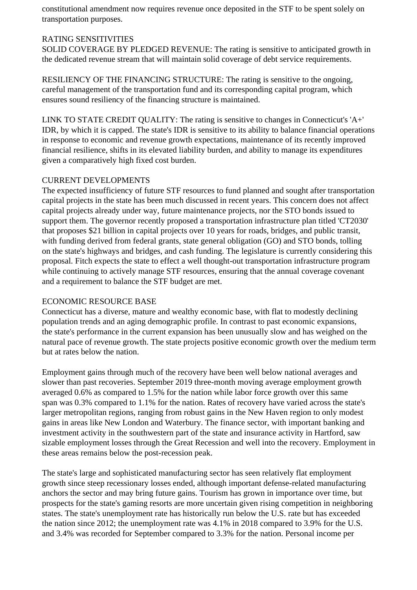constitutional amendment now requires revenue once deposited in the STF to be spent solely on transportation purposes.

## RATING SENSITIVITIES

 SOLID COVERAGE BY PLEDGED REVENUE: The rating is sensitive to anticipated growth in the dedicated revenue stream that will maintain solid coverage of debt service requirements.

 RESILIENCY OF THE FINANCING STRUCTURE: The rating is sensitive to the ongoing, careful management of the transportation fund and its corresponding capital program, which ensures sound resiliency of the financing structure is maintained.

 LINK TO STATE CREDIT QUALITY: The rating is sensitive to changes in Connecticut's 'A+' IDR, by which it is capped. The state's IDR is sensitive to its ability to balance financial operations in response to economic and revenue growth expectations, maintenance of its recently improved financial resilience, shifts in its elevated liability burden, and ability to manage its expenditures given a comparatively high fixed cost burden.

# CURRENT DEVELOPMENTS

 The expected insufficiency of future STF resources to fund planned and sought after transportation capital projects in the state has been much discussed in recent years. This concern does not affect capital projects already under way, future maintenance projects, nor the STO bonds issued to support them. The governor recently proposed a transportation infrastructure plan titled 'CT2030' that proposes \$21 billion in capital projects over 10 years for roads, bridges, and public transit, with funding derived from federal grants, state general obligation (GO) and STO bonds, tolling on the state's highways and bridges, and cash funding. The legislature is currently considering this proposal. Fitch expects the state to effect a well thought-out transportation infrastructure program while continuing to actively manage STF resources, ensuring that the annual coverage covenant and a requirement to balance the STF budget are met.

## ECONOMIC RESOURCE BASE

 Connecticut has a diverse, mature and wealthy economic base, with flat to modestly declining population trends and an aging demographic profile. In contrast to past economic expansions, the state's performance in the current expansion has been unusually slow and has weighed on the natural pace of revenue growth. The state projects positive economic growth over the medium term but at rates below the nation.

 Employment gains through much of the recovery have been well below national averages and slower than past recoveries. September 2019 three-month moving average employment growth averaged 0.6% as compared to 1.5% for the nation while labor force growth over this same span was 0.3% compared to 1.1% for the nation. Rates of recovery have varied across the state's larger metropolitan regions, ranging from robust gains in the New Haven region to only modest gains in areas like New London and Waterbury. The finance sector, with important banking and investment activity in the southwestern part of the state and insurance activity in Hartford, saw sizable employment losses through the Great Recession and well into the recovery. Employment in these areas remains below the post-recession peak.

 The state's large and sophisticated manufacturing sector has seen relatively flat employment growth since steep recessionary losses ended, although important defense-related manufacturing anchors the sector and may bring future gains. Tourism has grown in importance over time, but prospects for the state's gaming resorts are more uncertain given rising competition in neighboring states. The state's unemployment rate has historically run below the U.S. rate but has exceeded the nation since 2012; the unemployment rate was 4.1% in 2018 compared to 3.9% for the U.S. and 3.4% was recorded for September compared to 3.3% for the nation. Personal income per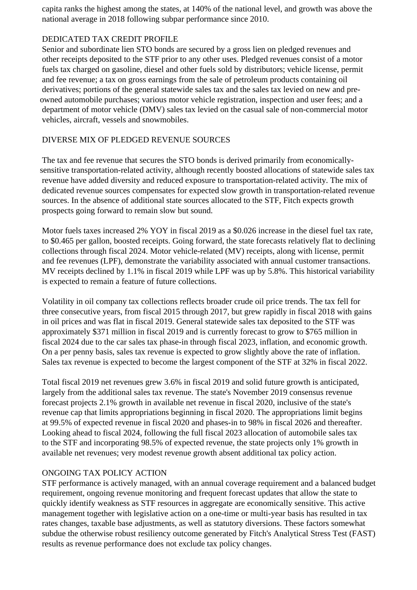capita ranks the highest among the states, at 140% of the national level, and growth was above the national average in 2018 following subpar performance since 2010.

## DEDICATED TAX CREDIT PROFILE

 Senior and subordinate lien STO bonds are secured by a gross lien on pledged revenues and other receipts deposited to the STF prior to any other uses. Pledged revenues consist of a motor fuels tax charged on gasoline, diesel and other fuels sold by distributors; vehicle license, permit and fee revenue; a tax on gross earnings from the sale of petroleum products containing oil derivatives; portions of the general statewide sales tax and the sales tax levied on new and preowned automobile purchases; various motor vehicle registration, inspection and user fees; and a department of motor vehicle (DMV) sales tax levied on the casual sale of non-commercial motor vehicles, aircraft, vessels and snowmobiles.

# DIVERSE MIX OF PLEDGED REVENUE SOURCES

 The tax and fee revenue that secures the STO bonds is derived primarily from economicallysensitive transportation-related activity, although recently boosted allocations of statewide sales tax revenue have added diversity and reduced exposure to transportation-related activity. The mix of dedicated revenue sources compensates for expected slow growth in transportation-related revenue sources. In the absence of additional state sources allocated to the STF, Fitch expects growth prospects going forward to remain slow but sound.

 Motor fuels taxes increased 2% YOY in fiscal 2019 as a \$0.026 increase in the diesel fuel tax rate, to \$0.465 per gallon, boosted receipts. Going forward, the state forecasts relatively flat to declining collections through fiscal 2024. Motor vehicle-related (MV) receipts, along with license, permit and fee revenues (LPF), demonstrate the variability associated with annual customer transactions. MV receipts declined by 1.1% in fiscal 2019 while LPF was up by 5.8%. This historical variability is expected to remain a feature of future collections.

 Volatility in oil company tax collections reflects broader crude oil price trends. The tax fell for three consecutive years, from fiscal 2015 through 2017, but grew rapidly in fiscal 2018 with gains in oil prices and was flat in fiscal 2019. General statewide sales tax deposited to the STF was approximately \$371 million in fiscal 2019 and is currently forecast to grow to \$765 million in fiscal 2024 due to the car sales tax phase-in through fiscal 2023, inflation, and economic growth. On a per penny basis, sales tax revenue is expected to grow slightly above the rate of inflation. Sales tax revenue is expected to become the largest component of the STF at 32% in fiscal 2022.

 Total fiscal 2019 net revenues grew 3.6% in fiscal 2019 and solid future growth is anticipated, largely from the additional sales tax revenue. The state's November 2019 consensus revenue forecast projects 2.1% growth in available net revenue in fiscal 2020, inclusive of the state's revenue cap that limits appropriations beginning in fiscal 2020. The appropriations limit begins at 99.5% of expected revenue in fiscal 2020 and phases-in to 98% in fiscal 2026 and thereafter. Looking ahead to fiscal 2024, following the full fiscal 2023 allocation of automobile sales tax to the STF and incorporating 98.5% of expected revenue, the state projects only 1% growth in available net revenues; very modest revenue growth absent additional tax policy action.

# ONGOING TAX POLICY ACTION

 STF performance is actively managed, with an annual coverage requirement and a balanced budget requirement, ongoing revenue monitoring and frequent forecast updates that allow the state to quickly identify weakness as STF resources in aggregate are economically sensitive. This active management together with legislative action on a one-time or multi-year basis has resulted in tax rates changes, taxable base adjustments, as well as statutory diversions. These factors somewhat subdue the otherwise robust resiliency outcome generated by Fitch's Analytical Stress Test (FAST) results as revenue performance does not exclude tax policy changes.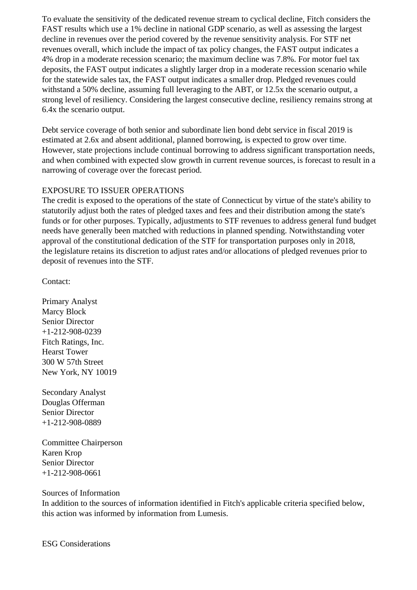To evaluate the sensitivity of the dedicated revenue stream to cyclical decline, Fitch considers the FAST results which use a 1% decline in national GDP scenario, as well as assessing the largest decline in revenues over the period covered by the revenue sensitivity analysis. For STF net revenues overall, which include the impact of tax policy changes, the FAST output indicates a 4% drop in a moderate recession scenario; the maximum decline was 7.8%. For motor fuel tax deposits, the FAST output indicates a slightly larger drop in a moderate recession scenario while for the statewide sales tax, the FAST output indicates a smaller drop. Pledged revenues could withstand a 50% decline, assuming full leveraging to the ABT, or 12.5x the scenario output, a strong level of resiliency. Considering the largest consecutive decline, resiliency remains strong at 6.4x the scenario output.

 Debt service coverage of both senior and subordinate lien bond debt service in fiscal 2019 is estimated at 2.6x and absent additional, planned borrowing, is expected to grow over time. However, state projections include continual borrowing to address significant transportation needs, and when combined with expected slow growth in current revenue sources, is forecast to result in a narrowing of coverage over the forecast period.

## EXPOSURE TO ISSUER OPERATIONS

 The credit is exposed to the operations of the state of Connecticut by virtue of the state's ability to statutorily adjust both the rates of pledged taxes and fees and their distribution among the state's funds or for other purposes. Typically, adjustments to STF revenues to address general fund budget needs have generally been matched with reductions in planned spending. Notwithstanding voter approval of the constitutional dedication of the STF for transportation purposes only in 2018, the legislature retains its discretion to adjust rates and/or allocations of pledged revenues prior to deposit of revenues into the STF.

Contact:

 Primary Analyst Marcy Block Senior Director +1-212-908-0239 Fitch Ratings, Inc. Hearst Tower 300 W 57th Street New York, NY 10019

 Secondary Analyst Douglas Offerman Senior Director +1-212-908-0889

 Committee Chairperson Karen Krop Senior Director +1-212-908-0661

#### Sources of Information

 In addition to the sources of information identified in Fitch's applicable criteria specified below, this action was informed by information from Lumesis.